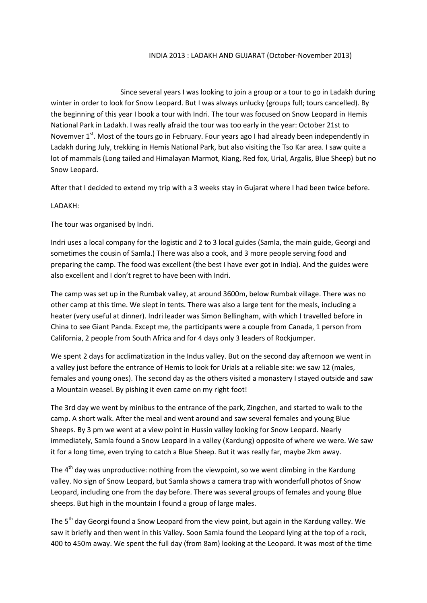## INDIA 2013 : LADAKH AND GUJARAT (October-November 2013)

Since several years I was looking to join a group or a tour to go in Ladakh during winter in order to look for Snow Leopard. But I was always unlucky (groups full; tours cancelled). By the beginning of this year I book a tour with Indri. The tour was focused on Snow Leopard in Hemis National Park in Ladakh. I was really afraid the tour was too early in the year: October 21st to Novemver 1<sup>st</sup>. Most of the tours go in February. Four years ago I had already been independently in Ladakh during July, trekking in Hemis National Park, but also visiting the Tso Kar area. I saw quite a lot of mammals (Long tailed and Himalayan Marmot, Kiang, Red fox, Urial, Argalis, Blue Sheep) but no Snow Leopard.

After that I decided to extend my trip with a 3 weeks stay in Gujarat where I had been twice before.

## LADAKH:

The tour was organised by Indri.

Indri uses a local company for the logistic and 2 to 3 local guides (Samla, the main guide, Georgi and sometimes the cousin of Samla.) There was also a cook, and 3 more people serving food and preparing the camp. The food was excellent (the best I have ever got in India). And the guides were also excellent and I don't regret to have been with Indri.

The camp was set up in the Rumbak valley, at around 3600m, below Rumbak village. There was no other camp at this time. We slept in tents. There was also a large tent for the meals, including a heater (very useful at dinner). Indri leader was Simon Bellingham, with which I travelled before in China to see Giant Panda. Except me, the participants were a couple from Canada, 1 person from California, 2 people from South Africa and for 4 days only 3 leaders of Rockjumper.

We spent 2 days for acclimatization in the Indus valley. But on the second day afternoon we went in a valley just before the entrance of Hemis to look for Urials at a reliable site: we saw 12 (males, females and young ones). The second day as the others visited a monastery I stayed outside and saw a Mountain weasel. By pishing it even came on my right foot!

The 3rd day we went by minibus to the entrance of the park, Zingchen, and started to walk to the camp. A short walk. After the meal and went around and saw several females and young Blue Sheeps. By 3 pm we went at a view point in Hussin valley looking for Snow Leopard. Nearly immediately, Samla found a Snow Leopard in a valley (Kardung) opposite of where we were. We saw it for a long time, even trying to catch a Blue Sheep. But it was really far, maybe 2km away.

The  $4<sup>th</sup>$  day was unproductive: nothing from the viewpoint, so we went climbing in the Kardung valley. No sign of Snow Leopard, but Samla shows a camera trap with wonderfull photos of Snow Leopard, including one from the day before. There was several groups of females and young Blue sheeps. But high in the mountain I found a group of large males.

The 5<sup>th</sup> day Georgi found a Snow Leopard from the view point, but again in the Kardung valley. We saw it briefly and then went in this Valley. Soon Samla found the Leopard lying at the top of a rock, 400 to 450m away. We spent the full day (from 8am) looking at the Leopard. It was most of the time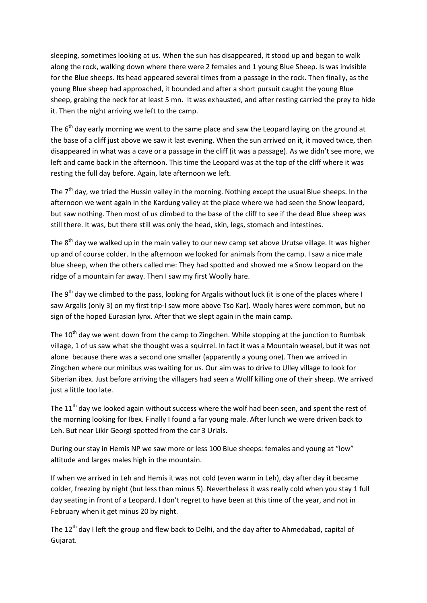sleeping, sometimes looking at us. When the sun has disappeared, it stood up and began to walk along the rock, walking down where there were 2 females and 1 young Blue Sheep. Is was invisible for the Blue sheeps. Its head appeared several times from a passage in the rock. Then finally, as the young Blue sheep had approached, it bounded and after a short pursuit caught the young Blue sheep, grabing the neck for at least 5 mn. It was exhausted, and after resting carried the prey to hide it. Then the night arriving we left to the camp.

The  $6<sup>th</sup>$  day early morning we went to the same place and saw the Leopard laying on the ground at the base of a cliff just above we saw it last evening. When the sun arrived on it, it moved twice, then disappeared in what was a cave or a passage in the cliff (it was a passage). As we didn't see more, we left and came back in the afternoon. This time the Leopard was at the top of the cliff where it was resting the full day before. Again, late afternoon we left.

The  $7<sup>th</sup>$  day, we tried the Hussin valley in the morning. Nothing except the usual Blue sheeps. In the afternoon we went again in the Kardung valley at the place where we had seen the Snow leopard, but saw nothing. Then most of us climbed to the base of the cliff to see if the dead Blue sheep was still there. It was, but there still was only the head, skin, legs, stomach and intestines.

The  $8<sup>th</sup>$  day we walked up in the main valley to our new camp set above Urutse village. It was higher up and of course colder. In the afternoon we looked for animals from the camp. I saw a nice male blue sheep, when the others called me: They had spotted and showed me a Snow Leopard on the ridge of a mountain far away. Then I saw my first Woolly hare.

The 9<sup>th</sup> day we climbed to the pass, looking for Argalis without luck (it is one of the places where I saw Argalis (only 3) on my first trip-I saw more above Tso Kar). Wooly hares were common, but no sign of the hoped Eurasian lynx. After that we slept again in the main camp.

The  $10<sup>th</sup>$  day we went down from the camp to Zingchen. While stopping at the junction to Rumbak village, 1 of us saw what she thought was a squirrel. In fact it was a Mountain weasel, but it was not alone because there was a second one smaller (apparently a young one). Then we arrived in Zingchen where our minibus was waiting for us. Our aim was to drive to Ulley village to look for Siberian ibex. Just before arriving the villagers had seen a Wollf killing one of their sheep. We arrived just a little too late.

The 11<sup>th</sup> day we looked again without success where the wolf had been seen, and spent the rest of the morning looking for Ibex. Finally I found a far young male. After lunch we were driven back to Leh. But near Likir Georgi spotted from the car 3 Urials.

During our stay in Hemis NP we saw more or less 100 Blue sheeps: females and young at "low" altitude and larges males high in the mountain.

If when we arrived in Leh and Hemis it was not cold (even warm in Leh), day after day it became colder, freezing by night (but less than minus 5). Nevertheless it was really cold when you stay 1 full day seating in front of a Leopard. I don't regret to have been at this time of the year, and not in February when it get minus 20 by night.

The 12<sup>th</sup> day I left the group and flew back to Delhi, and the day after to Ahmedabad, capital of Gujarat.